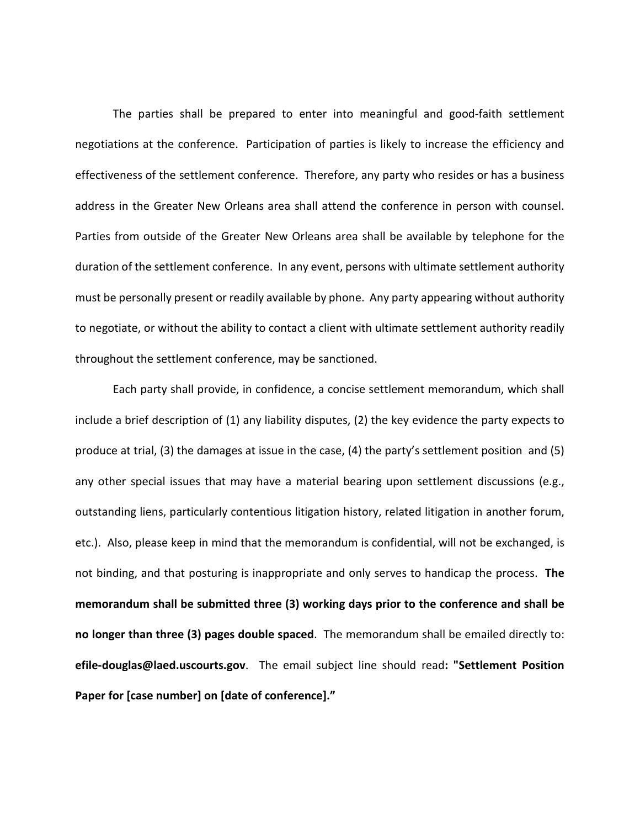The parties shall be prepared to enter into meaningful and good-faith settlement negotiations at the conference. Participation of parties is likely to increase the efficiency and effectiveness of the settlement conference. Therefore, any party who resides or has a business address in the Greater New Orleans area shall attend the conference in person with counsel. Parties from outside of the Greater New Orleans area shall be available by telephone for the duration of the settlement conference. In any event, persons with ultimate settlement authority must be personally present or readily available by phone. Any party appearing without authority to negotiate, or without the ability to contact a client with ultimate settlement authority readily throughout the settlement conference, may be sanctioned.

Each party shall provide, in confidence, a concise settlement memorandum, which shall include a brief description of (1) any liability disputes, (2) the key evidence the party expects to produce at trial, (3) the damages at issue in the case, (4) the party's settlement position and (5) any other special issues that may have a material bearing upon settlement discussions (e.g., outstanding liens, particularly contentious litigation history, related litigation in another forum, etc.). Also, please keep in mind that the memorandum is confidential, will not be exchanged, is not binding, and that posturing is inappropriate and only serves to handicap the process. **The memorandum shall be submitted three (3) working days prior to the conference and shall be no longer than three (3) pages double spaced**. The memorandum shall be emailed directly to: **efile-douglas@laed.uscourts.gov**. The email subject line should read**: "Settlement Position Paper for [case number] on [date of conference]."**